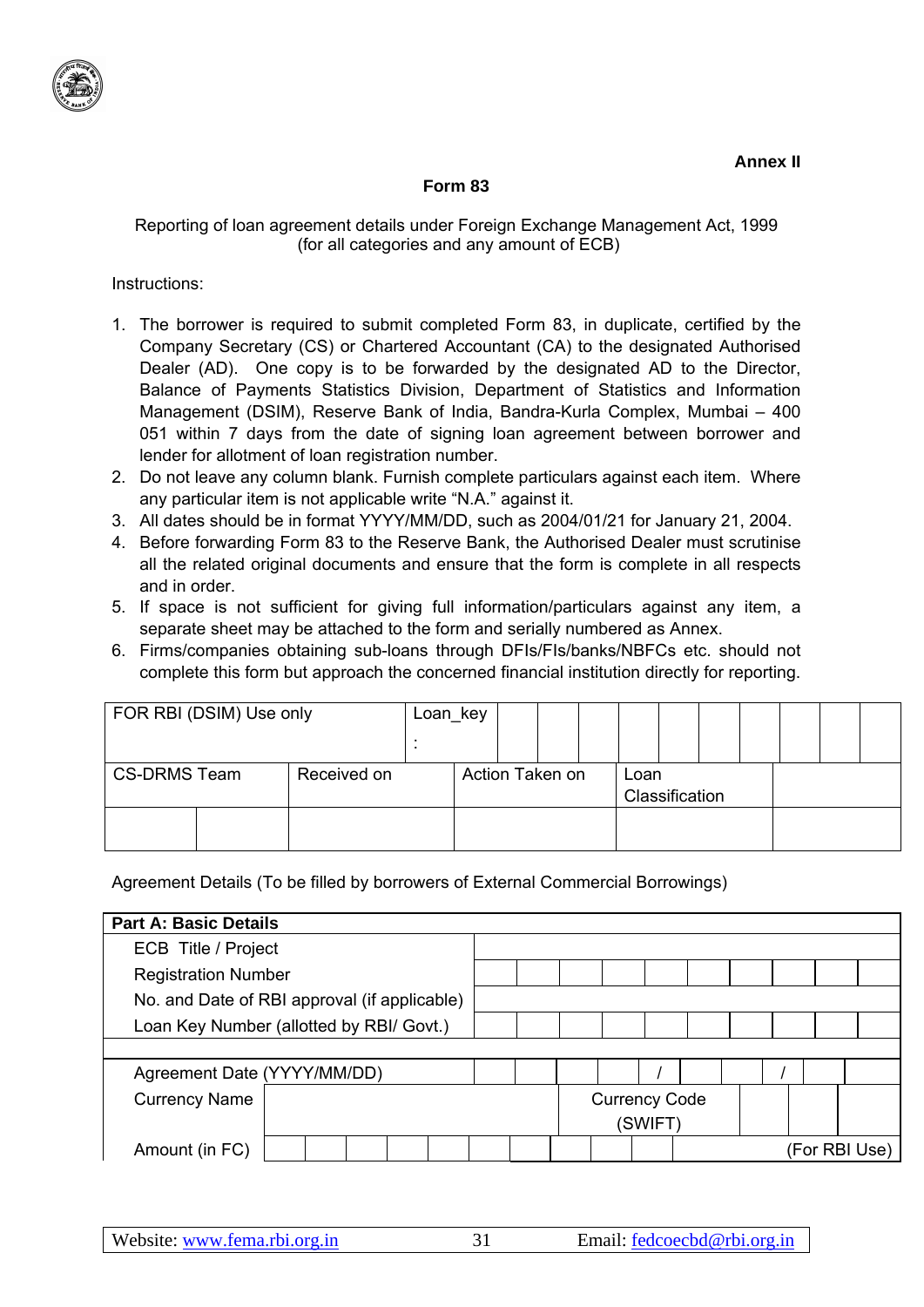

## **Form 83**

## Reporting of loan agreement details under Foreign Exchange Management Act, 1999 (for all categories and any amount of ECB)

Instructions:

- 1. The borrower is required to submit completed Form 83, in duplicate, certified by the Company Secretary (CS) or Chartered Accountant (CA) to the designated Authorised Dealer (AD). One copy is to be forwarded by the designated AD to the Director, Balance of Payments Statistics Division, Department of Statistics and Information Management (DSIM), Reserve Bank of India, Bandra-Kurla Complex, Mumbai – 400 051 within 7 days from the date of signing loan agreement between borrower and lender for allotment of loan registration number.
- 2. Do not leave any column blank. Furnish complete particulars against each item. Where any particular item is not applicable write "N.A." against it.
- 3. All dates should be in format YYYY/MM/DD, such as 2004/01/21 for January 21, 2004.
- 4. Before forwarding Form 83 to the Reserve Bank, the Authorised Dealer must scrutinise all the related original documents and ensure that the form is complete in all respects and in order.
- 5. If space is not sufficient for giving full information/particulars against any item, a separate sheet may be attached to the form and serially numbered as Annex.
- 6. Firms/companies obtaining sub-loans through DFIs/FIs/banks/NBFCs etc. should not complete this form but approach the concerned financial institution directly for reporting.

| FOR RBI (DSIM) Use only            |  | Loan_key |                 |  |  |  |      |                |  |  |  |  |
|------------------------------------|--|----------|-----------------|--|--|--|------|----------------|--|--|--|--|
|                                    |  |          |                 |  |  |  |      |                |  |  |  |  |
| <b>CS-DRMS Team</b><br>Received on |  |          | Action Taken on |  |  |  | Loan | Classification |  |  |  |  |
|                                    |  |          |                 |  |  |  |      |                |  |  |  |  |

Agreement Details (To be filled by borrowers of External Commercial Borrowings)

| <b>Part A: Basic Details</b>                 |  |                      |         |  |  |               |
|----------------------------------------------|--|----------------------|---------|--|--|---------------|
| ECB Title / Project                          |  |                      |         |  |  |               |
| <b>Registration Number</b>                   |  |                      |         |  |  |               |
| No. and Date of RBI approval (if applicable) |  |                      |         |  |  |               |
| Loan Key Number (allotted by RBI/ Govt.)     |  |                      |         |  |  |               |
|                                              |  |                      |         |  |  |               |
| Agreement Date (YYYY/MM/DD)                  |  |                      |         |  |  |               |
| <b>Currency Name</b>                         |  | <b>Currency Code</b> |         |  |  |               |
|                                              |  |                      | (SWIFT) |  |  |               |
| Amount (in FC)                               |  |                      |         |  |  | (For RBI Use) |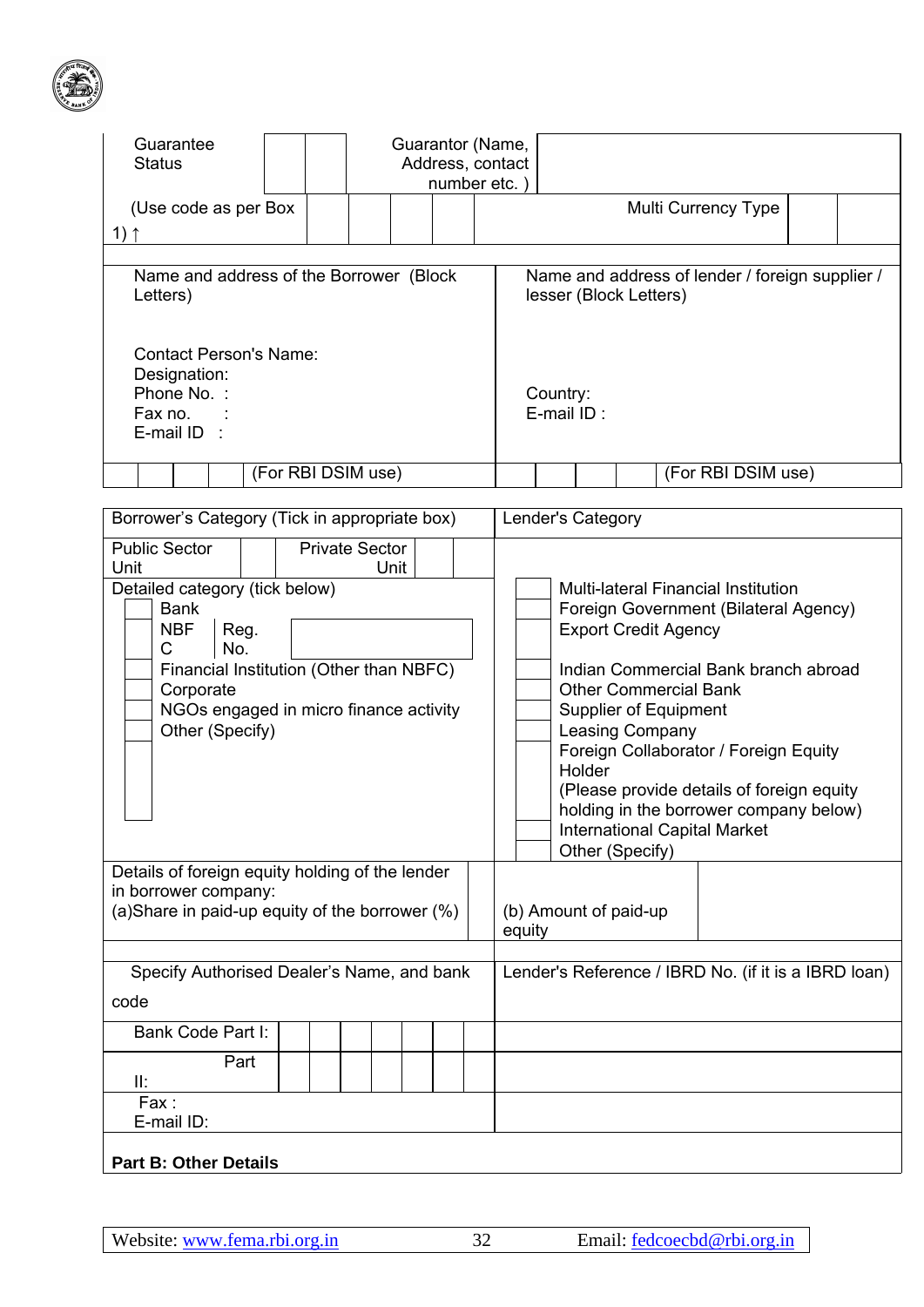

| Guarantee<br><b>Status</b>                                                                                                                                                                                                                                                                        |                                            |                       |      |  | Guarantor (Name,<br>Address, contact<br>number etc. |                                                                                       |        |                                                                                                   |                                                      |                                                                                                                                                                                                                                                                                                                                    |  |  |
|---------------------------------------------------------------------------------------------------------------------------------------------------------------------------------------------------------------------------------------------------------------------------------------------------|--------------------------------------------|-----------------------|------|--|-----------------------------------------------------|---------------------------------------------------------------------------------------|--------|---------------------------------------------------------------------------------------------------|------------------------------------------------------|------------------------------------------------------------------------------------------------------------------------------------------------------------------------------------------------------------------------------------------------------------------------------------------------------------------------------------|--|--|
| (Use code as per Box                                                                                                                                                                                                                                                                              |                                            |                       |      |  |                                                     |                                                                                       |        |                                                                                                   |                                                      | Multi Currency Type                                                                                                                                                                                                                                                                                                                |  |  |
| 1) 1                                                                                                                                                                                                                                                                                              |                                            |                       |      |  |                                                     |                                                                                       |        |                                                                                                   |                                                      |                                                                                                                                                                                                                                                                                                                                    |  |  |
| Name and address of the Borrower (Block<br>Letters)<br><b>Contact Person's Name:</b><br>Designation:<br>Phone No. :<br>Fax no.                                                                                                                                                                    |                                            |                       |      |  |                                                     | Name and address of lender / foreign supplier /<br>lesser (Block Letters)<br>Country: |        |                                                                                                   |                                                      |                                                                                                                                                                                                                                                                                                                                    |  |  |
| E-mail ID                                                                                                                                                                                                                                                                                         |                                            |                       |      |  |                                                     | E-mail ID:                                                                            |        |                                                                                                   |                                                      |                                                                                                                                                                                                                                                                                                                                    |  |  |
|                                                                                                                                                                                                                                                                                                   |                                            | (For RBI DSIM use)    |      |  |                                                     |                                                                                       |        |                                                                                                   |                                                      | (For RBI DSIM use)                                                                                                                                                                                                                                                                                                                 |  |  |
|                                                                                                                                                                                                                                                                                                   |                                            |                       |      |  |                                                     |                                                                                       |        |                                                                                                   |                                                      |                                                                                                                                                                                                                                                                                                                                    |  |  |
| Borrower's Category (Tick in appropriate box)                                                                                                                                                                                                                                                     |                                            |                       |      |  |                                                     | Lender's Category                                                                     |        |                                                                                                   |                                                      |                                                                                                                                                                                                                                                                                                                                    |  |  |
| <b>Public Sector</b><br>Unit<br>Detailed category (tick below)<br><b>Bank</b><br><b>NBF</b><br>Reg.<br>$\mathsf C$<br>No.<br>Financial Institution (Other than NBFC)<br>Corporate<br>NGOs engaged in micro finance activity<br>Other (Specify)<br>Details of foreign equity holding of the lender |                                            | <b>Private Sector</b> | Unit |  |                                                     |                                                                                       | Holder | <b>Export Credit Agency</b><br><b>Supplier of Equipment</b><br>Leasing Company<br>Other (Specify) |                                                      | <b>Multi-lateral Financial Institution</b><br>Foreign Government (Bilateral Agency)<br>Indian Commercial Bank branch abroad<br><b>Other Commercial Bank</b><br>Foreign Collaborator / Foreign Equity<br>(Please provide details of foreign equity<br>holding in the borrower company below)<br><b>International Capital Market</b> |  |  |
| in borrower company:<br>(a)Share in paid-up equity of the borrower (%)                                                                                                                                                                                                                            |                                            |                       |      |  | equity                                              |                                                                                       |        | (b) Amount of paid-up                                                                             |                                                      |                                                                                                                                                                                                                                                                                                                                    |  |  |
| code                                                                                                                                                                                                                                                                                              | Specify Authorised Dealer's Name, and bank |                       |      |  |                                                     |                                                                                       |        |                                                                                                   | Lender's Reference / IBRD No. (if it is a IBRD loan) |                                                                                                                                                                                                                                                                                                                                    |  |  |
| Bank Code Part I:                                                                                                                                                                                                                                                                                 |                                            |                       |      |  |                                                     |                                                                                       |        |                                                                                                   |                                                      |                                                                                                                                                                                                                                                                                                                                    |  |  |
| Part<br>II:                                                                                                                                                                                                                                                                                       |                                            |                       |      |  |                                                     |                                                                                       |        |                                                                                                   |                                                      |                                                                                                                                                                                                                                                                                                                                    |  |  |
| Fax:<br>E-mail ID:                                                                                                                                                                                                                                                                                |                                            |                       |      |  |                                                     |                                                                                       |        |                                                                                                   |                                                      |                                                                                                                                                                                                                                                                                                                                    |  |  |
| <b>Part B: Other Details</b>                                                                                                                                                                                                                                                                      |                                            |                       |      |  |                                                     |                                                                                       |        |                                                                                                   |                                                      |                                                                                                                                                                                                                                                                                                                                    |  |  |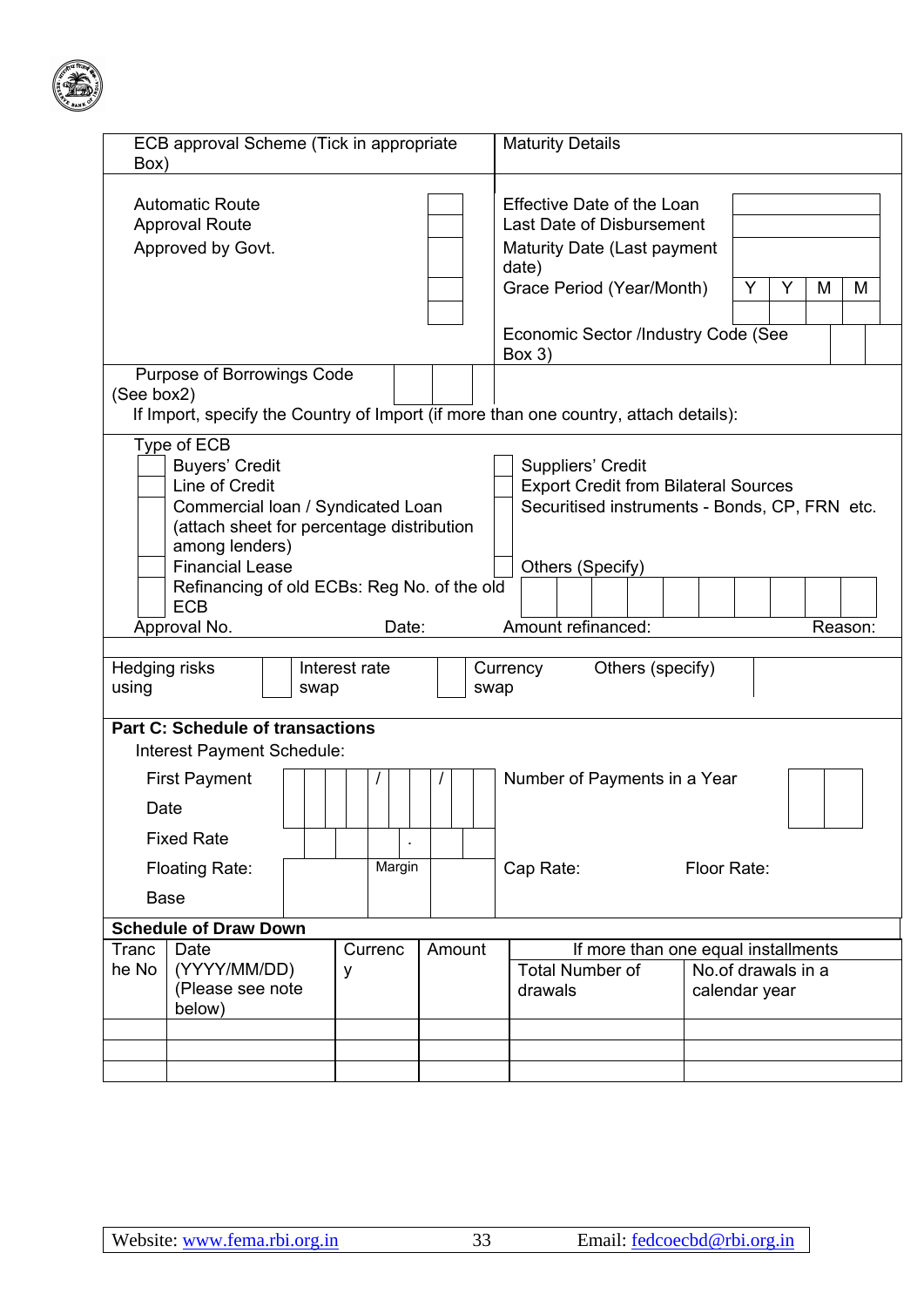

| ECB approval Scheme (Tick in appropriate<br>Box)                                                                                                                                                                                                                                                                                                                                           |                                                                                      | <b>Maturity Details</b>                                                                                                                                                       |                                                                            |  |  |  |  |  |  |  |  |
|--------------------------------------------------------------------------------------------------------------------------------------------------------------------------------------------------------------------------------------------------------------------------------------------------------------------------------------------------------------------------------------------|--------------------------------------------------------------------------------------|-------------------------------------------------------------------------------------------------------------------------------------------------------------------------------|----------------------------------------------------------------------------|--|--|--|--|--|--|--|--|
| <b>Automatic Route</b><br><b>Approval Route</b><br>Approved by Govt.                                                                                                                                                                                                                                                                                                                       |                                                                                      | Effective Date of the Loan<br>Last Date of Disbursement<br>Maturity Date (Last payment<br>date)<br>Grace Period (Year/Month)<br>Economic Sector /Industry Code (See<br>Box(3) | Y<br>Y<br>M<br>M                                                           |  |  |  |  |  |  |  |  |
| Purpose of Borrowings Code<br>(See box2)                                                                                                                                                                                                                                                                                                                                                   | If Import, specify the Country of Import (if more than one country, attach details): |                                                                                                                                                                               |                                                                            |  |  |  |  |  |  |  |  |
| Type of ECB<br><b>Buyers' Credit</b><br>Suppliers' Credit<br>Line of Credit<br><b>Export Credit from Bilateral Sources</b><br>Commercial Ioan / Syndicated Loan<br>Securitised instruments - Bonds, CP, FRN etc.<br>(attach sheet for percentage distribution<br>among lenders)<br><b>Financial Lease</b><br>Others (Specify)<br>Refinancing of old ECBs: Reg No. of the old<br><b>ECB</b> |                                                                                      |                                                                                                                                                                               |                                                                            |  |  |  |  |  |  |  |  |
| Approval No.                                                                                                                                                                                                                                                                                                                                                                               | Date:                                                                                | Amount refinanced:                                                                                                                                                            | Reason:                                                                    |  |  |  |  |  |  |  |  |
| Hedging risks<br>Interest rate<br>using<br>swap                                                                                                                                                                                                                                                                                                                                            | swap                                                                                 | Others (specify)<br>Currency                                                                                                                                                  |                                                                            |  |  |  |  |  |  |  |  |
| <b>Part C: Schedule of transactions</b><br>Interest Payment Schedule:                                                                                                                                                                                                                                                                                                                      |                                                                                      |                                                                                                                                                                               |                                                                            |  |  |  |  |  |  |  |  |
| <b>First Payment</b><br>Date<br><b>Fixed Rate</b>                                                                                                                                                                                                                                                                                                                                          |                                                                                      | Number of Payments in a Year                                                                                                                                                  |                                                                            |  |  |  |  |  |  |  |  |
| <b>Floating Rate:</b>                                                                                                                                                                                                                                                                                                                                                                      | Margin                                                                               | Cap Rate:                                                                                                                                                                     | Floor Rate:                                                                |  |  |  |  |  |  |  |  |
| <b>Base</b>                                                                                                                                                                                                                                                                                                                                                                                |                                                                                      |                                                                                                                                                                               |                                                                            |  |  |  |  |  |  |  |  |
| <b>Schedule of Draw Down</b>                                                                                                                                                                                                                                                                                                                                                               |                                                                                      |                                                                                                                                                                               |                                                                            |  |  |  |  |  |  |  |  |
| Tranc<br>Date<br>he No<br>(YYYY/MM/DD)<br>у<br>(Please see note<br>below)                                                                                                                                                                                                                                                                                                                  | Amount<br>Currenc                                                                    |                                                                                                                                                                               | If more than one equal installments<br>No.of drawals in a<br>calendar year |  |  |  |  |  |  |  |  |
|                                                                                                                                                                                                                                                                                                                                                                                            |                                                                                      |                                                                                                                                                                               |                                                                            |  |  |  |  |  |  |  |  |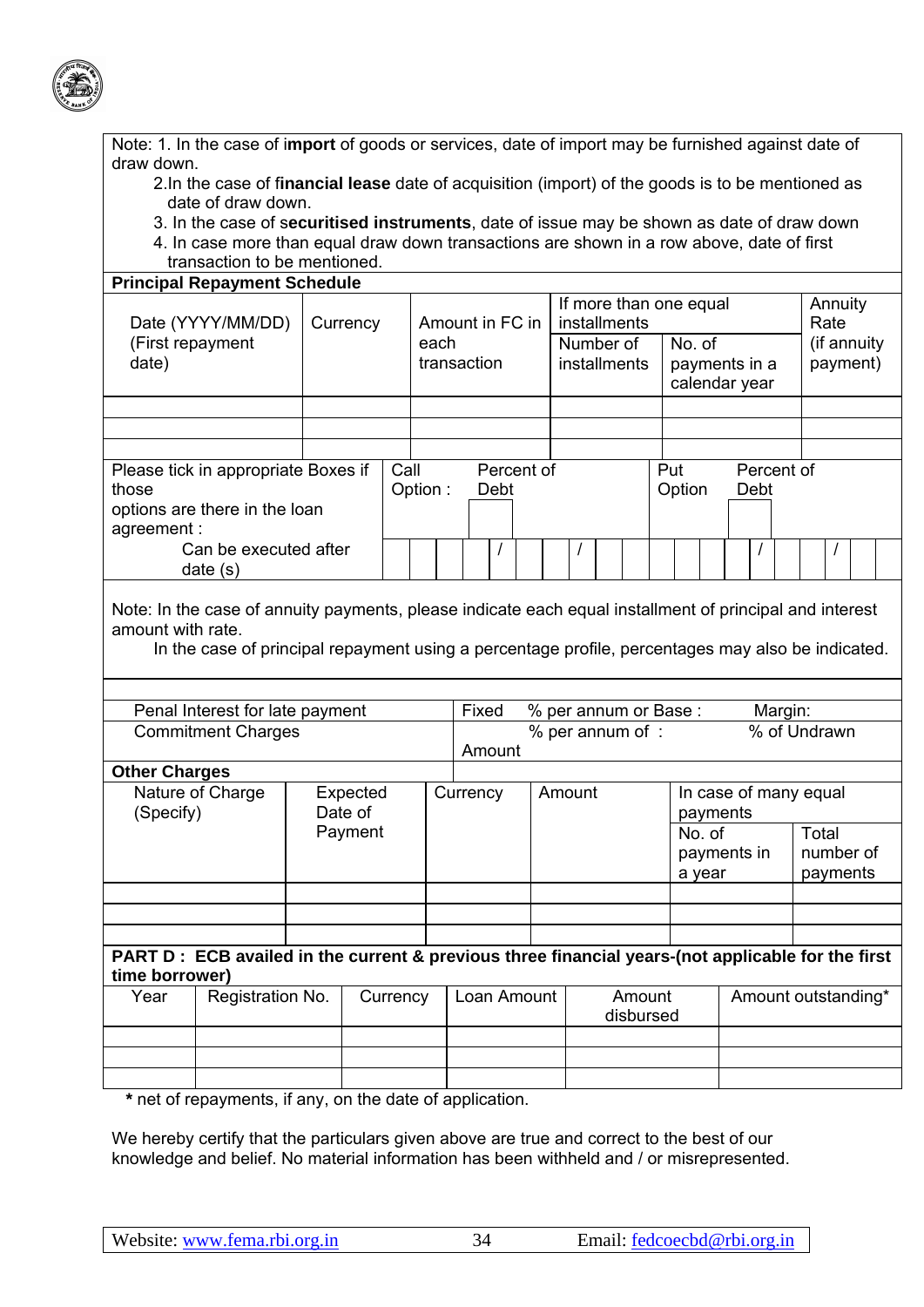

| Note: 1. In the case of import of goods or services, date of import may be furnished against date of |  |
|------------------------------------------------------------------------------------------------------|--|
| draw down.                                                                                           |  |

- 2.In the case of f**inancial lease** date of acquisition (import) of the goods is to be mentioned as date of draw down.
- 3. In the case of s**ecuritised instruments**, date of issue may be shown as date of draw down 4. In case more than equal draw down transactions are shown in a row above, date of first
- transaction to be mentioned.

|                      | <b>Principal Repayment Schedule</b>                                                                     |          |          |         |             |                                                                     |            |              |              |                     |     |                        |  |      |            |                         |  |                     |
|----------------------|---------------------------------------------------------------------------------------------------------|----------|----------|---------|-------------|---------------------------------------------------------------------|------------|--------------|--------------|---------------------|-----|------------------------|--|------|------------|-------------------------|--|---------------------|
|                      |                                                                                                         |          |          |         |             |                                                                     |            |              |              |                     |     | If more than one equal |  |      |            | Annuity                 |  |                     |
|                      | Date (YYYY/MM/DD)                                                                                       | Currency |          |         |             | Amount in FC in                                                     |            |              | installments |                     |     |                        |  |      |            | Rate                    |  |                     |
|                      | (First repayment                                                                                        |          |          | each    |             |                                                                     |            |              | Number of    |                     |     | No. of                 |  |      |            | (if annuity<br>payment) |  |                     |
| date)                |                                                                                                         |          |          |         | transaction |                                                                     |            | installments |              |                     |     | payments in a          |  |      |            |                         |  |                     |
|                      |                                                                                                         |          |          |         |             |                                                                     |            |              |              |                     |     | calendar year          |  |      |            |                         |  |                     |
|                      |                                                                                                         |          |          |         |             |                                                                     |            |              |              |                     |     |                        |  |      |            |                         |  |                     |
|                      |                                                                                                         |          |          |         |             |                                                                     |            |              |              |                     |     |                        |  |      |            |                         |  |                     |
|                      |                                                                                                         |          |          |         |             |                                                                     |            |              |              |                     |     |                        |  |      |            |                         |  |                     |
|                      | Please tick in appropriate Boxes if                                                                     |          | Call     |         |             |                                                                     | Percent of |              |              |                     | Put |                        |  |      | Percent of |                         |  |                     |
| those                |                                                                                                         |          |          | Option: |             | Debt                                                                |            |              |              |                     |     | Option                 |  | Debt |            |                         |  |                     |
|                      | options are there in the loan                                                                           |          |          |         |             |                                                                     |            |              |              |                     |     |                        |  |      |            |                         |  |                     |
| agreement:           |                                                                                                         |          |          |         |             |                                                                     |            |              |              |                     |     |                        |  |      |            |                         |  |                     |
|                      | Can be executed after                                                                                   |          |          |         |             |                                                                     |            |              |              |                     |     |                        |  |      |            |                         |  |                     |
|                      | date(s)                                                                                                 |          |          |         |             |                                                                     |            |              |              |                     |     |                        |  |      |            |                         |  |                     |
|                      |                                                                                                         |          |          |         |             |                                                                     |            |              |              |                     |     |                        |  |      |            |                         |  |                     |
|                      | Note: In the case of annuity payments, please indicate each equal installment of principal and interest |          |          |         |             |                                                                     |            |              |              |                     |     |                        |  |      |            |                         |  |                     |
| amount with rate.    |                                                                                                         |          |          |         |             |                                                                     |            |              |              |                     |     |                        |  |      |            |                         |  |                     |
|                      | In the case of principal repayment using a percentage profile, percentages may also be indicated.       |          |          |         |             |                                                                     |            |              |              |                     |     |                        |  |      |            |                         |  |                     |
|                      |                                                                                                         |          |          |         |             |                                                                     |            |              |              |                     |     |                        |  |      |            |                         |  |                     |
|                      |                                                                                                         |          |          |         |             | Fixed                                                               |            |              |              |                     |     |                        |  |      |            |                         |  |                     |
|                      | Penal Interest for late payment<br><b>Commitment Charges</b>                                            |          |          |         |             | % per annum or Base:<br>Margin:<br>% of Undrawn<br>% per annum of : |            |              |              |                     |     |                        |  |      |            |                         |  |                     |
|                      |                                                                                                         |          |          |         |             | Amount                                                              |            |              |              |                     |     |                        |  |      |            |                         |  |                     |
| <b>Other Charges</b> |                                                                                                         |          |          |         |             |                                                                     |            |              |              |                     |     |                        |  |      |            |                         |  |                     |
|                      | Nature of Charge                                                                                        | Expected |          |         | Currency    |                                                                     |            | Amount       |              |                     |     | In case of many equal  |  |      |            |                         |  |                     |
| (Specify)            |                                                                                                         | Date of  |          |         |             |                                                                     |            |              |              |                     |     | payments               |  |      |            |                         |  |                     |
|                      |                                                                                                         | Payment  |          |         |             |                                                                     |            |              |              |                     |     | No. of                 |  |      |            | Total                   |  |                     |
|                      |                                                                                                         |          |          |         |             |                                                                     |            |              |              |                     |     | payments in            |  |      |            | number of               |  |                     |
|                      |                                                                                                         |          |          |         |             |                                                                     |            |              |              |                     |     | a year                 |  |      |            | payments                |  |                     |
|                      |                                                                                                         |          |          |         |             |                                                                     |            |              |              |                     |     |                        |  |      |            |                         |  |                     |
|                      |                                                                                                         |          |          |         |             |                                                                     |            |              |              |                     |     |                        |  |      |            |                         |  |                     |
|                      |                                                                                                         |          |          |         |             |                                                                     |            |              |              |                     |     |                        |  |      |            |                         |  |                     |
|                      | PART D : ECB availed in the current & previous three financial years-(not applicable for the first      |          |          |         |             |                                                                     |            |              |              |                     |     |                        |  |      |            |                         |  |                     |
|                      |                                                                                                         |          |          |         |             |                                                                     |            |              |              |                     |     |                        |  |      |            |                         |  |                     |
| time borrower)       |                                                                                                         |          |          |         |             |                                                                     |            |              |              |                     |     |                        |  |      |            |                         |  |                     |
| Year                 | Registration No.                                                                                        |          | Currency |         |             | Loan Amount                                                         |            |              |              | Amount<br>disbursed |     |                        |  |      |            |                         |  | Amount outstanding* |
|                      |                                                                                                         |          |          |         |             |                                                                     |            |              |              |                     |     |                        |  |      |            |                         |  |                     |
|                      |                                                                                                         |          |          |         |             |                                                                     |            |              |              |                     |     |                        |  |      |            |                         |  |                     |
|                      |                                                                                                         |          |          |         |             |                                                                     |            |              |              |                     |     |                        |  |      |            |                         |  |                     |
|                      |                                                                                                         |          |          |         |             |                                                                     |            |              |              |                     |     |                        |  |      |            |                         |  |                     |

 **\*** net of repayments, if any, on the date of application.

We hereby certify that the particulars given above are true and correct to the best of our knowledge and belief. No material information has been withheld and / or misrepresented.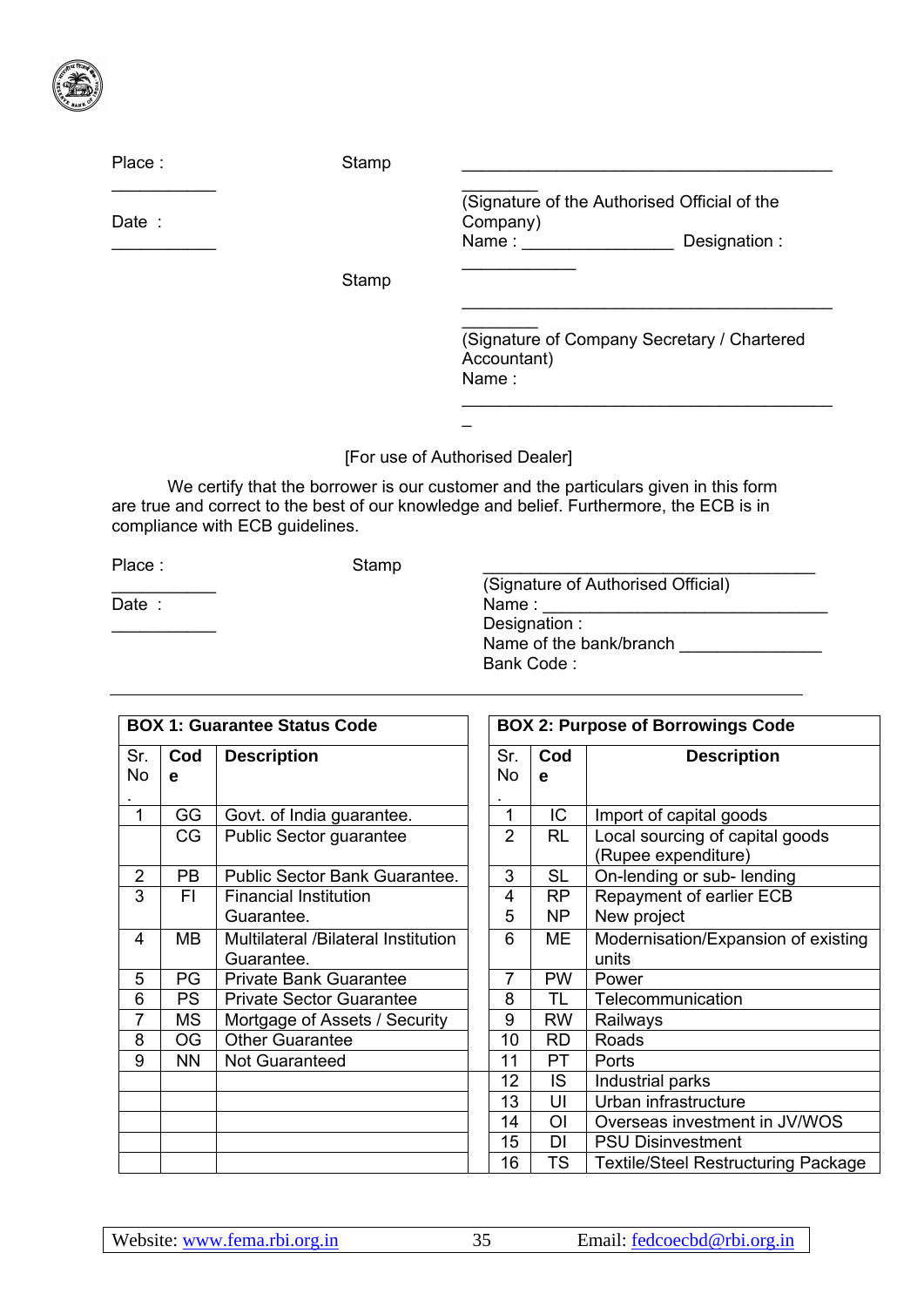

| Place: | Stamp |                                                                                   |
|--------|-------|-----------------------------------------------------------------------------------|
| Date:  |       | (Signature of the Authorised Official of the<br>Company)<br>Name:<br>Designation: |
|        | Stamp |                                                                                   |
|        |       | (Signature of Company Secretary / Chartered<br>Accountant)<br>Name:               |
|        |       |                                                                                   |

## [For use of Authorised Dealer]

We certify that the borrower is our customer and the particulars given in this form are true and correct to the best of our knowledge and belief. Furthermore, the ECB is in compliance with ECB guidelines.

Place : Stamp

Date :

 $\frac{1}{2}$  ,  $\frac{1}{2}$  ,  $\frac{1}{2}$  ,  $\frac{1}{2}$  ,  $\frac{1}{2}$  ,  $\frac{1}{2}$  ,  $\frac{1}{2}$ 

 $\frac{1}{2}$  ,  $\frac{1}{2}$  ,  $\frac{1}{2}$  ,  $\frac{1}{2}$  ,  $\frac{1}{2}$  ,  $\frac{1}{2}$  ,  $\frac{1}{2}$ 

(Signature of Authorised Official) Name : Designation : Name of the bank/branch \_\_\_\_\_\_\_\_\_\_\_\_\_\_\_ Bank Code :

|                |           | <b>BOX 1: Guarantee Status Code</b> | <b>BOX 2: Purpose of Borrowings Code</b> |                |                                            |  |  |  |
|----------------|-----------|-------------------------------------|------------------------------------------|----------------|--------------------------------------------|--|--|--|
| Sr.            | Cod       | <b>Description</b>                  | Sr.                                      | Cod            | <b>Description</b>                         |  |  |  |
| <b>No</b>      | e         |                                     | No                                       | e              |                                            |  |  |  |
| 1              | GG        |                                     | 1                                        | IC             |                                            |  |  |  |
|                |           | Govt. of India guarantee.           |                                          |                | Import of capital goods                    |  |  |  |
|                | CG        | Public Sector guarantee             | $\overline{2}$                           | <b>RL</b>      | Local sourcing of capital goods            |  |  |  |
|                |           |                                     |                                          |                | (Rupee expenditure)                        |  |  |  |
| $\overline{2}$ | <b>PB</b> | Public Sector Bank Guarantee.       | 3                                        | <b>SL</b>      | On-lending or sub- lending                 |  |  |  |
| 3              | FI.       | <b>Financial Institution</b>        | 4                                        | RP             | Repayment of earlier ECB                   |  |  |  |
|                |           | Guarantee.                          | 5                                        | NP             | New project                                |  |  |  |
| 4              | <b>MB</b> | Multilateral /Bilateral Institution | 6                                        | МE             | Modernisation/Expansion of existing        |  |  |  |
|                |           | Guarantee.                          |                                          |                | units                                      |  |  |  |
| 5              | PG        | <b>Private Bank Guarantee</b>       | 7                                        | <b>PW</b>      | Power                                      |  |  |  |
| 6              | <b>PS</b> | <b>Private Sector Guarantee</b>     | 8                                        | TL             | Telecommunication                          |  |  |  |
| 7              | MS        | Mortgage of Assets / Security       | 9                                        | <b>RW</b>      | Railways                                   |  |  |  |
| 8              | <b>OG</b> | <b>Other Guarantee</b>              | 10                                       | <b>RD</b>      | Roads                                      |  |  |  |
| 9              | <b>NN</b> | <b>Not Guaranteed</b>               | 11                                       | PT             | Ports                                      |  |  |  |
|                |           |                                     | 12                                       | IS.            | Industrial parks                           |  |  |  |
|                |           |                                     | 13                                       | UI             | Urban infrastructure                       |  |  |  |
|                |           |                                     | 14                                       | O <sub>l</sub> | Overseas investment in JV/WOS              |  |  |  |
|                |           |                                     | 15                                       | <b>DI</b>      | <b>PSU Disinvestment</b>                   |  |  |  |
|                |           |                                     | 16                                       | TS             | <b>Textile/Steel Restructuring Package</b> |  |  |  |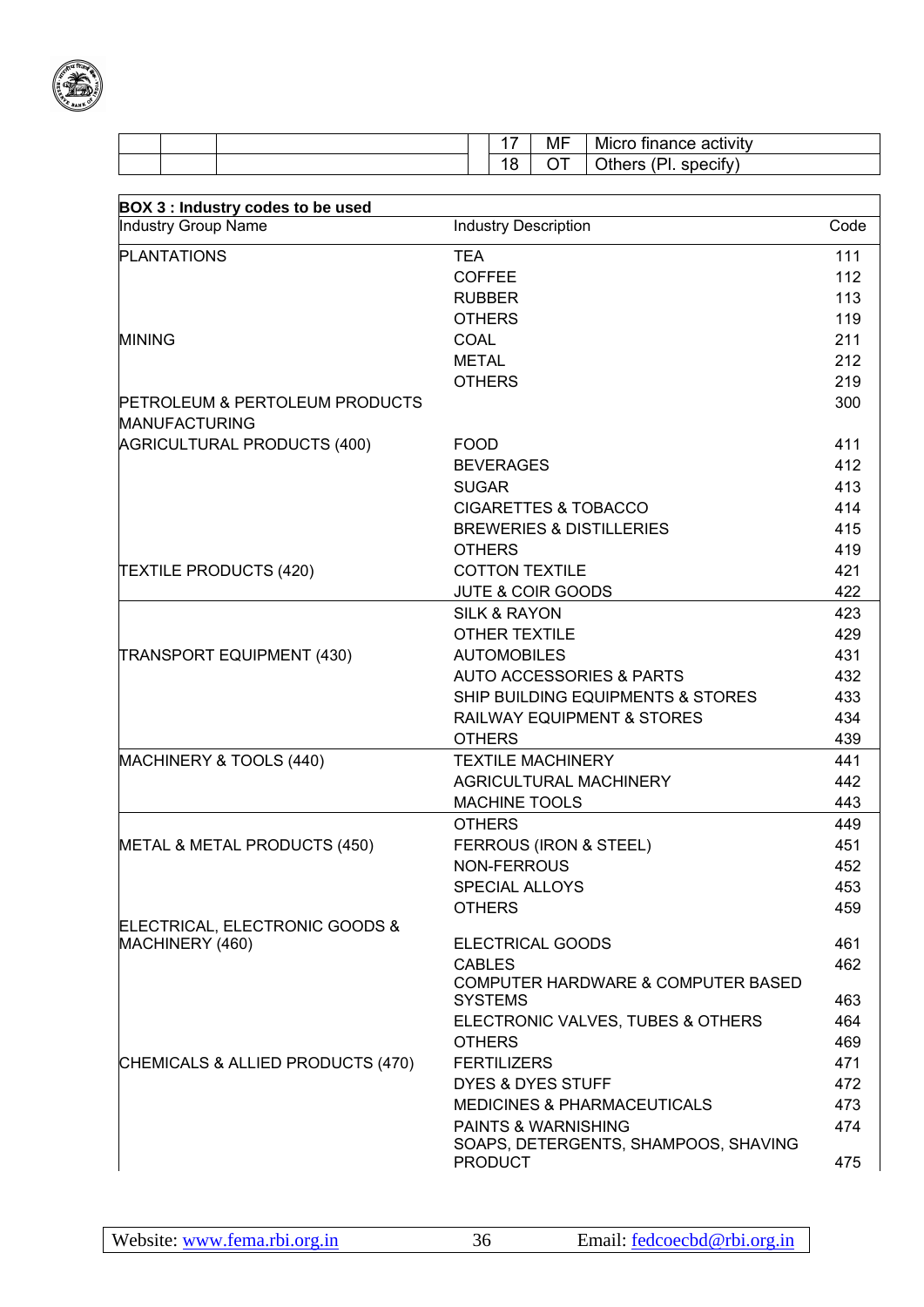

|  | . –    | MF  | .<br>Micro finance<br>$-$ -noo -<br>activity |
|--|--------|-----|----------------------------------------------|
|  | O<br>С | - - | . .<br>$\sim$<br>specity)                    |

| <b>BOX 3: Industry codes to be used</b>                           |                                                                 |      |
|-------------------------------------------------------------------|-----------------------------------------------------------------|------|
| <b>Industry Group Name</b>                                        | <b>Industry Description</b>                                     | Code |
| <b>PLANTATIONS</b>                                                | <b>TEA</b>                                                      | 111  |
|                                                                   | <b>COFFEE</b>                                                   | 112  |
|                                                                   | <b>RUBBER</b>                                                   | 113  |
|                                                                   | <b>OTHERS</b>                                                   | 119  |
| <b>MINING</b>                                                     | COAL                                                            | 211  |
|                                                                   | <b>METAL</b>                                                    | 212  |
|                                                                   | <b>OTHERS</b>                                                   | 219  |
| <b>PETROLEUM &amp; PERTOLEUM PRODUCTS</b><br><b>MANUFACTURING</b> |                                                                 | 300  |
| AGRICULTURAL PRODUCTS (400)                                       | <b>FOOD</b>                                                     | 411  |
|                                                                   | <b>BEVERAGES</b>                                                | 412  |
|                                                                   | <b>SUGAR</b>                                                    | 413  |
|                                                                   | <b>CIGARETTES &amp; TOBACCO</b>                                 | 414  |
|                                                                   | <b>BREWERIES &amp; DISTILLERIES</b>                             | 415  |
|                                                                   | <b>OTHERS</b>                                                   | 419  |
| <b>TEXTILE PRODUCTS (420)</b>                                     | <b>COTTON TEXTILE</b>                                           | 421  |
|                                                                   | <b>JUTE &amp; COIR GOODS</b>                                    | 422  |
|                                                                   | <b>SILK &amp; RAYON</b>                                         | 423  |
|                                                                   | <b>OTHER TEXTILE</b>                                            | 429  |
| <b>TRANSPORT EQUIPMENT (430)</b>                                  | <b>AUTOMOBILES</b>                                              | 431  |
|                                                                   | <b>AUTO ACCESSORIES &amp; PARTS</b>                             | 432  |
|                                                                   | SHIP BUILDING EQUIPMENTS & STORES                               | 433  |
|                                                                   | <b>RAILWAY EQUIPMENT &amp; STORES</b>                           | 434  |
|                                                                   | <b>OTHERS</b>                                                   | 439  |
| MACHINERY & TOOLS (440)                                           | <b>TEXTILE MACHINERY</b>                                        | 441  |
|                                                                   | <b>AGRICULTURAL MACHINERY</b>                                   | 442  |
|                                                                   | <b>MACHINE TOOLS</b>                                            | 443  |
|                                                                   | <b>OTHERS</b>                                                   | 449  |
| METAL & METAL PRODUCTS (450)                                      | FERROUS (IRON & STEEL)                                          | 451  |
|                                                                   | NON-FERROUS                                                     | 452  |
|                                                                   | <b>SPECIAL ALLOYS</b>                                           | 453  |
|                                                                   | <b>OTHERS</b>                                                   | 459  |
| ELECTRICAL, ELECTRONIC GOODS &                                    |                                                                 |      |
| MACHINERY (460)                                                   | <b>ELECTRICAL GOODS</b>                                         | 461  |
|                                                                   | <b>CABLES</b>                                                   | 462  |
|                                                                   | <b>COMPUTER HARDWARE &amp; COMPUTER BASED</b><br><b>SYSTEMS</b> | 463  |
|                                                                   | ELECTRONIC VALVES, TUBES & OTHERS                               | 464  |
|                                                                   | <b>OTHERS</b>                                                   | 469  |
| CHEMICALS & ALLIED PRODUCTS (470)                                 | <b>FERTILIZERS</b>                                              | 471  |
|                                                                   | <b>DYES &amp; DYES STUFF</b>                                    | 472  |
|                                                                   | <b>MEDICINES &amp; PHARMACEUTICALS</b>                          | 473  |
|                                                                   | <b>PAINTS &amp; WARNISHING</b>                                  | 474  |
|                                                                   | SOAPS, DETERGENTS, SHAMPOOS, SHAVING<br><b>PRODUCT</b>          | 475  |